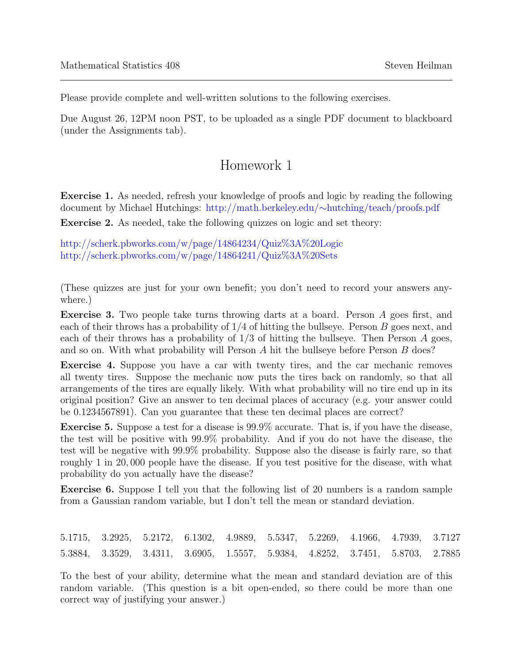Please provide complete and well-written solutions to the following exercises.

Due August 26, 12PM noon PST, to be uploaded as a single PDF document to blackboard (under the Assignments tab).

## Homework 1

Exercise 1. As needed, refresh your knowledge of proofs and logic by reading the following document by Michael Hutchings: [http://math.berkeley.edu/](http://math.berkeley.edu/~hutching/teach/proofs.pdf)∼hutching/teach/proofs.pdf

Exercise 2. As needed, take the following quizzes on logic and set theory:

<http://scherk.pbworks.com/w/page/14864234/Quiz%3A%20Logic> <http://scherk.pbworks.com/w/page/14864241/Quiz%3A%20Sets>

(These quizzes are just for your own benefit; you don't need to record your answers anywhere.)

Exercise 3. Two people take turns throwing darts at a board. Person A goes first, and each of their throws has a probability of  $1/4$  of hitting the bullseye. Person B goes next, and each of their throws has a probability of  $1/3$  of hitting the bullseye. Then Person A goes, and so on. With what probability will Person A hit the bullseye before Person B does?

Exercise 4. Suppose you have a car with twenty tires, and the car mechanic removes all twenty tires. Suppose the mechanic now puts the tires back on randomly, so that all arrangements of the tires are equally likely. With what probability will no tire end up in its original position? Give an answer to ten decimal places of accuracy (e.g. your answer could be 0.1234567891). Can you guarantee that these ten decimal places are correct?

Exercise 5. Suppose a test for a disease is 99.9% accurate. That is, if you have the disease, the test will be positive with 99.9% probability. And if you do not have the disease, the test will be negative with 99.9% probability. Suppose also the disease is fairly rare, so that roughly 1 in 20, 000 people have the disease. If you test positive for the disease, with what probability do you actually have the disease?

Exercise 6. Suppose I tell you that the following list of 20 numbers is a random sample from a Gaussian random variable, but I don't tell the mean or standard deviation.

5.1715, 3.2925, 5.2172, 6.1302, 4.9889, 5.5347, 5.2269, 4.1966, 4.7939, 3.7127 5.3884, 3.3529, 3.4311, 3.6905, 1.5557, 5.9384, 4.8252, 3.7451, 5.8703, 2.7885

To the best of your ability, determine what the mean and standard deviation are of this random variable. (This question is a bit open-ended, so there could be more than one correct way of justifying your answer.)